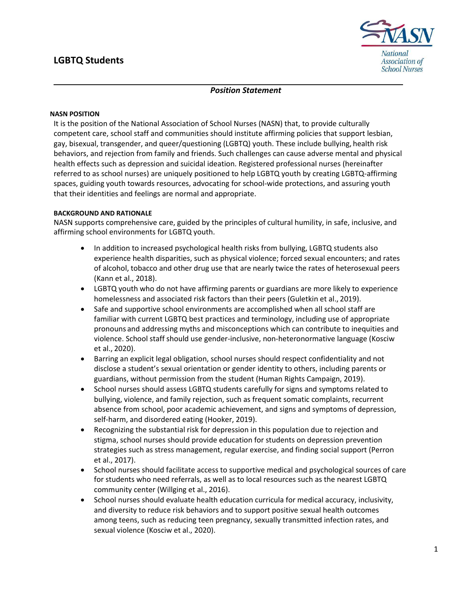# **LGBTQ Students**



## *Position Statement*

#### **NASN POSITION**

It is the position of the National Association of School Nurses (NASN) that, to provide culturally competent care, school staff and communities should institute affirming policies that support lesbian, gay, bisexual, transgender, and queer/questioning (LGBTQ) youth. These include bullying, health risk behaviors, and rejection from family and friends. Such challenges can cause adverse mental and physical health effects such as depression and suicidal ideation. Registered professional nurses (hereinafter referred to as school nurses) are uniquely positioned to help LGBTQ youth by creating LGBTQ-affirming spaces, guiding youth towards resources, advocating for school-wide protections, and assuring youth that their identities and feelings are normal and appropriate.

### **BACKGROUND AND RATIONALE**

NASN supports comprehensive care, guided by the principles of cultural humility, in safe, inclusive, and affirming school environments for LGBTQ youth.

- In addition to increased psychological health risks from bullying, LGBTQ students also experience health disparities, such as physical violence; forced sexual encounters; and rates of alcohol, tobacco and other drug use that are nearly twice the rates of heterosexual peers (Kann et al., 2018).
- LGBTQ youth who do not have affirming parents or guardians are more likely to experience homelessness and associated risk factors than their peers (Guletkin et al., 2019).
- Safe and supportive school environments are accomplished when all school staff are familiar with current LGBTQ best practices and terminology, including use of appropriate pronouns and addressing myths and misconceptions which can contribute to inequities and violence. School staff should use gender-inclusive, non-heteronormative language (Kosciw et al., 2020).
- Barring an explicit legal obligation, school nurses should respect confidentiality and not disclose a student's sexual orientation or gender identity to others, including parents or guardians, without permission from the student (Human Rights Campaign, 2019).
- School nurses should assess LGBTQ students carefully for signs and symptoms related to bullying, violence, and family rejection, such as frequent somatic complaints, recurrent absence from school, poor academic achievement, and signs and symptoms of depression, self-harm, and disordered eating (Hooker, 2019).
- Recognizing the substantial risk for depression in this population due to rejection and stigma, school nurses should provide education for students on depression prevention strategies such as stress management, regular exercise, and finding social support (Perron et al., 2017).
- School nurses should facilitate access to supportive medical and psychological sources of care for students who need referrals, as well as to local resources such as the nearest LGBTQ community center (Willging et al., 2016).
- School nurses should evaluate health education curricula for medical accuracy, inclusivity, and diversity to reduce risk behaviors and to support positive sexual health outcomes among teens, such as reducing teen pregnancy, sexually transmitted infection rates, and sexual violence (Kosciw et al., 2020).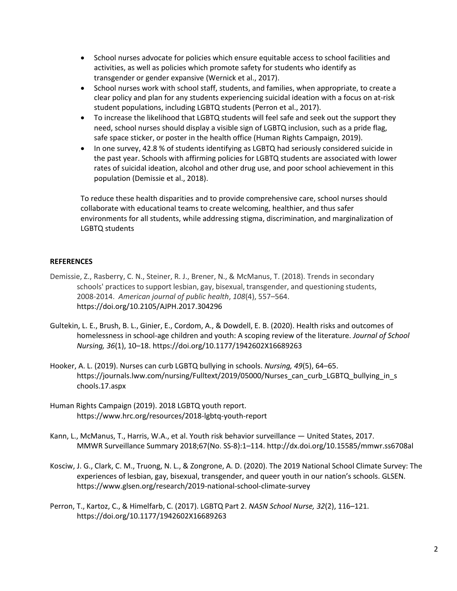- School nurses advocate for policies which ensure equitable access to school facilities and activities, as well as policies which promote safety for students who identify as transgender or gender expansive (Wernick et al., 2017).
- School nurses work with school staff, students, and families, when appropriate, to create a clear policy and plan for any students experiencing suicidal ideation with a focus on at-risk student populations, including LGBTQ students (Perron et al., 2017).
- To increase the likelihood that LGBTQ students will feel safe and seek out the support they need, school nurses should display a visible sign of LGBTQ inclusion, such as a pride flag, safe space sticker, or poster in the health office (Human Rights Campaign, 2019).
- In one survey, 42.8 % of students identifying as LGBTQ had seriously considered suicide in the past year. Schools with affirming policies for LGBTQ students are associated with lower rates of suicidal ideation, alcohol and other drug use, and poor school achievement in this population (Demissie et al., 2018).

To reduce these health disparities and to provide comprehensive care, school nurses should collaborate with educational teams to create welcoming, healthier, and thus safer environments for all students, while addressing stigma, discrimination, and marginalization of LGBTQ students

## **REFERENCES**

- Demissie, Z., Rasberry, C. N., Steiner, R. J., Brener, N., & McManus, T. (2018). Trends in secondary schools' practices to support lesbian, gay, bisexual, transgender, and questioning students, 2008-2014. *American journal of public health*, *108*(4), 557–564. https://doi.org/10.2105/AJPH.2017.304296
- Gultekin, L. E., Brush, B. L., Ginier, E., Cordom, A., & Dowdell, E. B. (2020). Health risks and outcomes of homelessness in school-age children and youth: A scoping review of the literature. *Journal of School Nursing, 36*(1), 10–18[. https://doi.org/10.1177/1942602X16689263](https://doi.org/10.1177%2F1942602X16689263)
- Hooker, A. L. (2019). Nurses can curb LGBTQ bullying in schools. *Nursing, 49*(5), 64–65. https://journals.lww.com/nursing/Fulltext/2019/05000/Nurses can curb LGBTQ bullying in s [chools.17.aspx](https://journals.lww.com/nursing/Fulltext/2019/05000/Nurses_can_curb_LGBTQ_bullying_in_schools.17.aspx)
- Human Rights Campaign (2019). 2018 LGBTQ youth report. https://www.hrc.org/resources/2018-lgbtq-youth-report
- Kann, L., McManus, T., Harris, W.A., et al. Youth risk behavior surveillance United States, 2017. MMWR Surveillance Summary 2018;67(No. SS-8):1–114. [http://dx.doi.org/10.15585/mmwr.ss6708al](http://dx.doi.org/10.15585/mmwr.ss6708a1)
- Kosciw, J. G., Clark, C. M., Truong, N. L., & Zongrone, A. D. (2020). The 2019 National School Climate Survey: The experiences of lesbian, gay, bisexual, transgender, and queer youth in our nation's schools. GLSEN. https://www.glsen.org/research/2019-national-school-climate-survey
- Perron, T., Kartoz, C., & Himelfarb, C. (2017). LGBTQ Part 2. *NASN School Nurse, 32*(2), 116–121. https://doi.org/10.1177/1942602X16689263